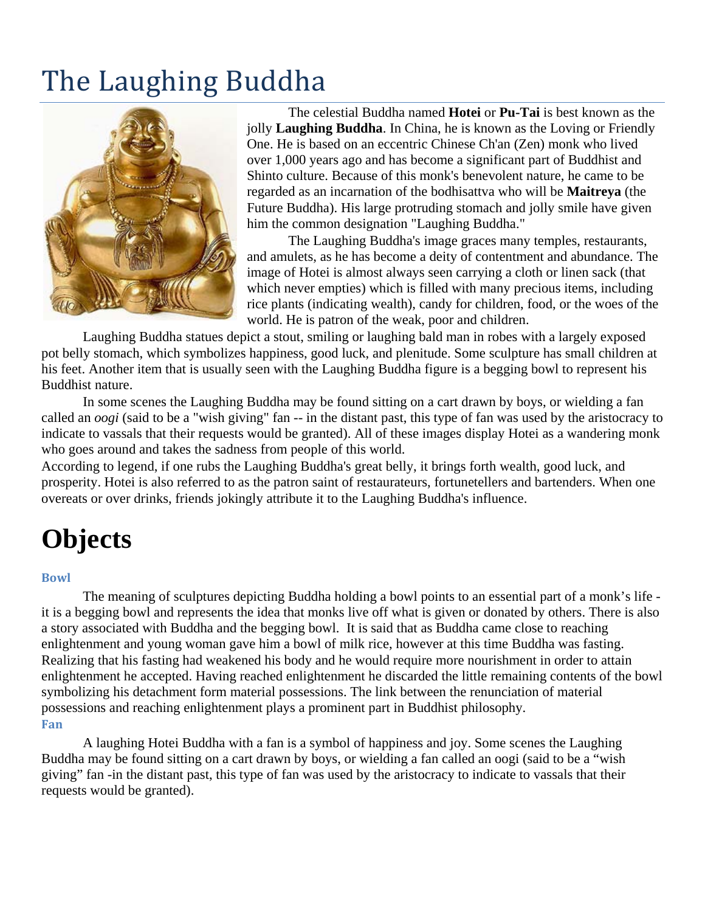# The Laughing Buddha



The celestial Buddha named **Hotei** or **Pu-Tai** is best known as the jolly **Laughing Buddha**. In China, he is known as the Loving or Friendly One. He is based on an eccentric Chinese Ch'an (Zen) monk who lived over 1,000 years ago and has become a significant part of Buddhist and Shinto culture. Because of this monk's benevolent nature, he came to be regarded as an incarnation of the bodhisattva who will be **Maitreya** (the Future Buddha). His large protruding stomach and jolly smile have given him the common designation "Laughing Buddha."

The Laughing Buddha's image graces many temples, restaurants, and amulets, as he has become a deity of contentment and abundance. The image of Hotei is almost always seen carrying a cloth or linen sack (that which never empties) which is filled with many precious items, including rice plants (indicating wealth), candy for children, food, or the woes of the world. He is patron of the weak, poor and children.

Laughing Buddha statues depict a stout, smiling or laughing bald man in robes with a largely exposed pot belly stomach, which symbolizes happiness, good luck, and plenitude. Some sculpture has small children at his feet. Another item that is usually seen with the Laughing Buddha figure is a begging bowl to represent his Buddhist nature.

In some scenes the Laughing Buddha may be found sitting on a cart drawn by boys, or wielding a fan called an *oogi* (said to be a "wish giving" fan -- in the distant past, this type of fan was used by the aristocracy to indicate to vassals that their requests would be granted). All of these images display Hotei as a wandering monk who goes around and takes the sadness from people of this world.

According to legend, if one rubs the Laughing Buddha's great belly, it brings forth wealth, good luck, and prosperity. Hotei is also referred to as the patron saint of restaurateurs, fortunetellers and bartenders. When one overeats or over drinks, friends jokingly attribute it to the Laughing Buddha's influence.

# **Objects**

#### **Bowl**

The meaning of sculptures depicting Buddha holding a bowl points to an essential part of a monk's life it is a begging bowl and represents the idea that monks live off what is given or donated by others. There is also a story associated with Buddha and the begging bowl. It is said that as Buddha came close to reaching enlightenment and young woman gave him a bowl of milk rice, however at this time Buddha was fasting. Realizing that his fasting had weakened his body and he would require more nourishment in order to attain enlightenment he accepted. Having reached enlightenment he discarded the little remaining contents of the bowl symbolizing his detachment form material possessions. The link between the renunciation of material possessions and reaching enlightenment plays a prominent part in Buddhist philosophy. **Fan**

A laughing Hotei Buddha with a fan is a symbol of happiness and joy. Some scenes the Laughing Buddha may be found sitting on a cart drawn by boys, or wielding a fan called an oogi (said to be a "wish giving" fan -in the distant past, this type of fan was used by the aristocracy to indicate to vassals that their requests would be granted).